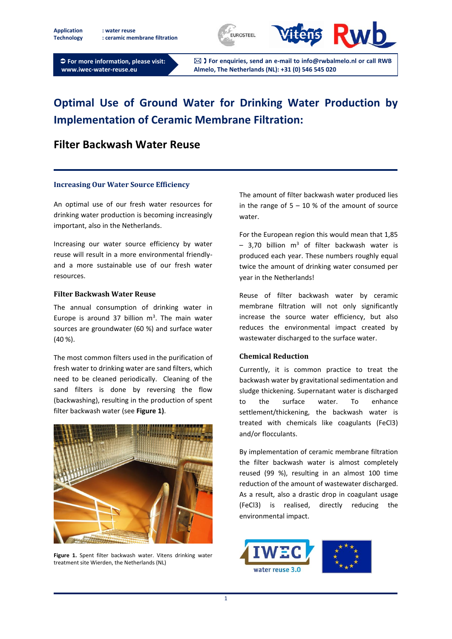**Application : water reuse Technology : ceramic membrane filtration**





 **For more information, please visit: www.iwec-water-reuse.eu**

 **For enquiries, send an e-mail to info@rwbalmelo.nl or call RWB Almelo, The Netherlands (NL): +31 (0) 546 545 020**

# **Optimal Use of Ground Water for Drinking Water Production by Implementation of Ceramic Membrane Filtration:**

## **Filter Backwash Water Reuse**

#### **Increasing Our Water Source Efficiency**

An optimal use of our fresh water resources for drinking water production is becoming increasingly important, also in the Netherlands.

Increasing our water source efficiency by water reuse will result in a more environmental friendlyand a more sustainable use of our fresh water resources.

#### **Filter Backwash Water Reuse**

The annual consumption of drinking water in Europe is around 37 billion  $m<sup>3</sup>$ . The main water sources are groundwater (60 %) and surface water (40 %).

The most common filters used in the purification of fresh water to drinking water are sand filters, which need to be cleaned periodically. Cleaning of the sand filters is done by reversing the flow (backwashing), resulting in the production of spent filter backwash water (see **[Figure 1\)](#page-0-0)**.

<span id="page-0-0"></span>

**Figure 1.** Spent filter backwash water. Vitens drinking water treatment site Wierden, the Netherlands (NL)

The amount of filter backwash water produced lies in the range of  $5 - 10$  % of the amount of source water.

For the European region this would mean that 1,85  $-$  3,70 billion m<sup>3</sup> of filter backwash water is produced each year. These numbers roughly equal twice the amount of drinking water consumed per year in the Netherlands!

Reuse of filter backwash water by ceramic membrane filtration will not only significantly increase the source water efficiency, but also reduces the environmental impact created by wastewater discharged to the surface water.

### **Chemical Reduction**

Currently, it is common practice to treat the backwash water by gravitational sedimentation and sludge thickening. Supernatant water is discharged to the surface water. To enhance settlement/thickening, the backwash water is treated with chemicals like coagulants (FeCl3) and/or flocculants.

By implementation of ceramic membrane filtration the filter backwash water is almost completely reused (99 %), resulting in an almost 100 time reduction of the amount of wastewater discharged. As a result, also a drastic drop in coagulant usage (FeCl3) is realised, directly reducing the environmental impact.